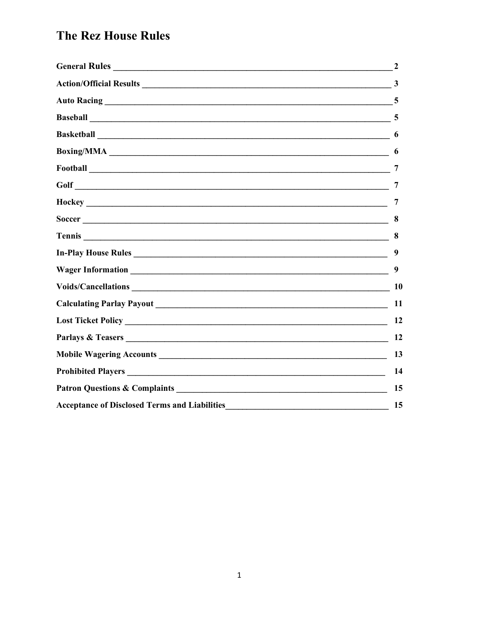|                     | 3  |
|---------------------|----|
|                     |    |
|                     |    |
|                     | 6  |
|                     | 6  |
|                     | 7  |
|                     | 7  |
|                     | 7  |
| Soccer              | 8  |
|                     | 8  |
| In-Play House Rules | 9  |
|                     | 9  |
|                     |    |
|                     | 11 |
|                     | 12 |
|                     | 12 |
|                     | 13 |
|                     | 14 |
|                     | 15 |
|                     | 15 |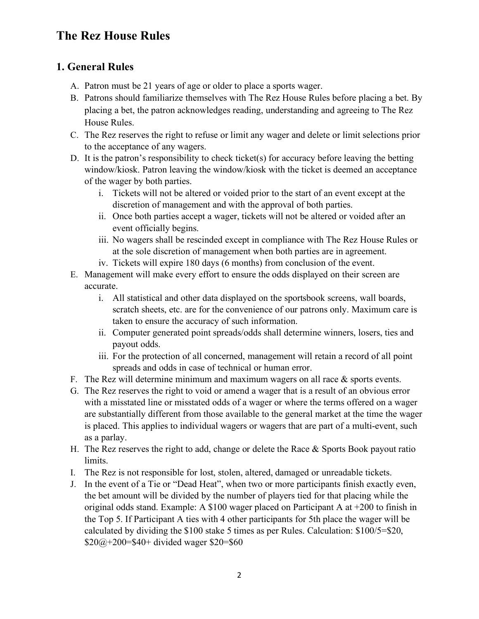## **1. General Rules**

- A. Patron must be 21 years of age or older to place a sports wager.
- B. Patrons should familiarize themselves with The Rez House Rules before placing a bet. By placing a bet, the patron acknowledges reading, understanding and agreeing to The Rez House Rules.
- C. The Rez reserves the right to refuse or limit any wager and delete or limit selections prior to the acceptance of any wagers.
- D. It is the patron's responsibility to check ticket(s) for accuracy before leaving the betting window/kiosk. Patron leaving the window/kiosk with the ticket is deemed an acceptance of the wager by both parties.
	- i. Tickets will not be altered or voided prior to the start of an event except at the discretion of management and with the approval of both parties.
	- ii. Once both parties accept a wager, tickets will not be altered or voided after an event officially begins.
	- iii. No wagers shall be rescinded except in compliance with The Rez House Rules or at the sole discretion of management when both parties are in agreement.
	- iv. Tickets will expire 180 days (6 months) from conclusion of the event.
- E. Management will make every effort to ensure the odds displayed on their screen are accurate.
	- i. All statistical and other data displayed on the sportsbook screens, wall boards, scratch sheets, etc. are for the convenience of our patrons only. Maximum care is taken to ensure the accuracy of such information.
	- ii. Computer generated point spreads/odds shall determine winners, losers, ties and payout odds.
	- iii. For the protection of all concerned, management will retain a record of all point spreads and odds in case of technical or human error.
- F. The Rez will determine minimum and maximum wagers on all race  $\&$  sports events.
- G. The Rez reserves the right to void or amend a wager that is a result of an obvious error with a misstated line or misstated odds of a wager or where the terms offered on a wager are substantially different from those available to the general market at the time the wager is placed. This applies to individual wagers or wagers that are part of a multi-event, such as a parlay.
- H. The Rez reserves the right to add, change or delete the Race & Sports Book payout ratio limits.
- I. The Rez is not responsible for lost, stolen, altered, damaged or unreadable tickets.
- J. In the event of a Tie or "Dead Heat", when two or more participants finish exactly even, the bet amount will be divided by the number of players tied for that placing while the original odds stand. Example: A \$100 wager placed on Participant A at +200 to finish in the Top 5. If Participant A ties with 4 other participants for 5th place the wager will be calculated by dividing the \$100 stake 5 times as per Rules. Calculation: \$100/5=\$20,  $$20@+200= $40+$  divided wager \$20=\$60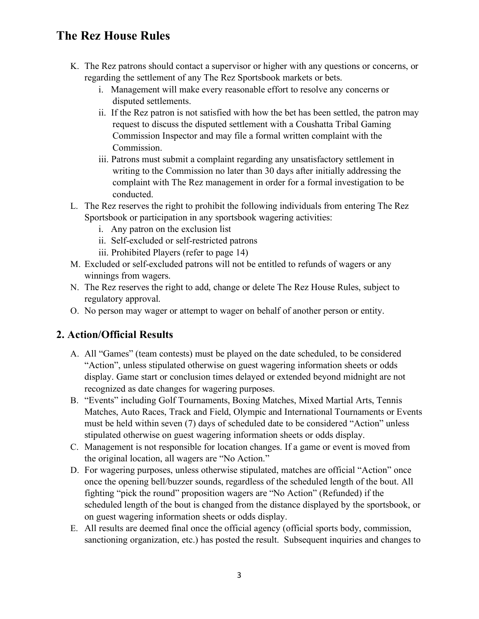- K. The Rez patrons should contact a supervisor or higher with any questions or concerns, or regarding the settlement of any The Rez Sportsbook markets or bets.
	- i. Management will make every reasonable effort to resolve any concerns or disputed settlements.
	- ii. If the Rez patron is not satisfied with how the bet has been settled, the patron may request to discuss the disputed settlement with a Coushatta Tribal Gaming Commission Inspector and may file a formal written complaint with the Commission.
	- iii. Patrons must submit a complaint regarding any unsatisfactory settlement in writing to the Commission no later than 30 days after initially addressing the complaint with The Rez management in order for a formal investigation to be conducted.
- L. The Rez reserves the right to prohibit the following individuals from entering The Rez Sportsbook or participation in any sportsbook wagering activities:
	- i. Any patron on the exclusion list
	- ii. Self-excluded or self-restricted patrons
	- iii. Prohibited Players (refer to page 14)
- M. Excluded or self-excluded patrons will not be entitled to refunds of wagers or any winnings from wagers.
- N. The Rez reserves the right to add, change or delete The Rez House Rules, subject to regulatory approval.
- O. No person may wager or attempt to wager on behalf of another person or entity.

## **2. Action/Official Results**

- A. All "Games" (team contests) must be played on the date scheduled, to be considered "Action", unless stipulated otherwise on guest wagering information sheets or odds display. Game start or conclusion times delayed or extended beyond midnight are not recognized as date changes for wagering purposes.
- B. "Events" including Golf Tournaments, Boxing Matches, Mixed Martial Arts, Tennis Matches, Auto Races, Track and Field, Olympic and International Tournaments or Events must be held within seven (7) days of scheduled date to be considered "Action" unless stipulated otherwise on guest wagering information sheets or odds display.
- C. Management is not responsible for location changes. If a game or event is moved from the original location, all wagers are "No Action."
- D. For wagering purposes, unless otherwise stipulated, matches are official "Action" once once the opening bell/buzzer sounds, regardless of the scheduled length of the bout. All fighting "pick the round" proposition wagers are "No Action" (Refunded) if the scheduled length of the bout is changed from the distance displayed by the sportsbook, or on guest wagering information sheets or odds display.
- E. All results are deemed final once the official agency (official sports body, commission, sanctioning organization, etc.) has posted the result. Subsequent inquiries and changes to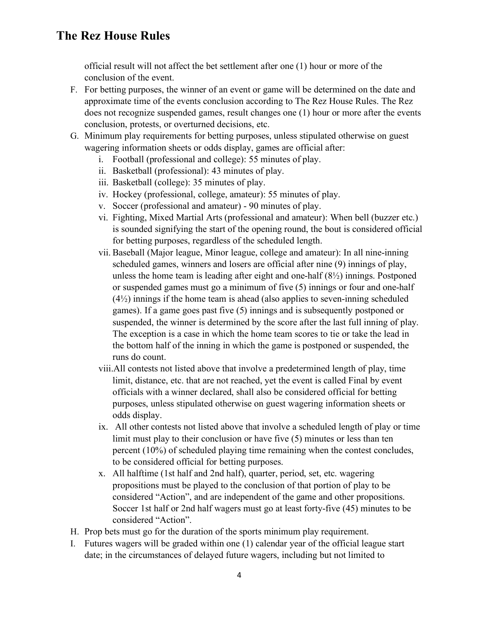official result will not affect the bet settlement after one (1) hour or more of the conclusion of the event.

- F. For betting purposes, the winner of an event or game will be determined on the date and approximate time of the events conclusion according to The Rez House Rules. The Rez does not recognize suspended games, result changes one (1) hour or more after the events conclusion, protests, or overturned decisions, etc.
- G. Minimum play requirements for betting purposes, unless stipulated otherwise on guest wagering information sheets or odds display, games are official after:
	- i. Football (professional and college): 55 minutes of play.
	- ii. Basketball (professional): 43 minutes of play.
	- iii. Basketball (college): 35 minutes of play.
	- iv. Hockey (professional, college, amateur): 55 minutes of play.
	- v. Soccer (professional and amateur) 90 minutes of play.
	- vi. Fighting, Mixed Martial Arts (professional and amateur): When bell (buzzer etc.) is sounded signifying the start of the opening round, the bout is considered official for betting purposes, regardless of the scheduled length.
	- vii. Baseball (Major league, Minor league, college and amateur): In all nine-inning scheduled games, winners and losers are official after nine (9) innings of play, unless the home team is leading after eight and one-half  $(8\frac{1}{2})$  innings. Postponed or suspended games must go a minimum of five (5) innings or four and one-half  $(4\frac{1}{2})$  innings if the home team is ahead (also applies to seven-inning scheduled games). If a game goes past five (5) innings and is subsequently postponed or suspended, the winner is determined by the score after the last full inning of play. The exception is a case in which the home team scores to tie or take the lead in the bottom half of the inning in which the game is postponed or suspended, the runs do count.
	- viii.All contests not listed above that involve a predetermined length of play, time limit, distance, etc. that are not reached, yet the event is called Final by event officials with a winner declared, shall also be considered official for betting purposes, unless stipulated otherwise on guest wagering information sheets or odds display.
	- ix. All other contests not listed above that involve a scheduled length of play or time limit must play to their conclusion or have five (5) minutes or less than ten percent (10%) of scheduled playing time remaining when the contest concludes, to be considered official for betting purposes.
	- x. All halftime (1st half and 2nd half), quarter, period, set, etc. wagering propositions must be played to the conclusion of that portion of play to be considered "Action", and are independent of the game and other propositions. Soccer 1st half or 2nd half wagers must go at least forty-five (45) minutes to be considered "Action".
- H. Prop bets must go for the duration of the sports minimum play requirement.
- I. Futures wagers will be graded within one (1) calendar year of the official league start date; in the circumstances of delayed future wagers, including but not limited to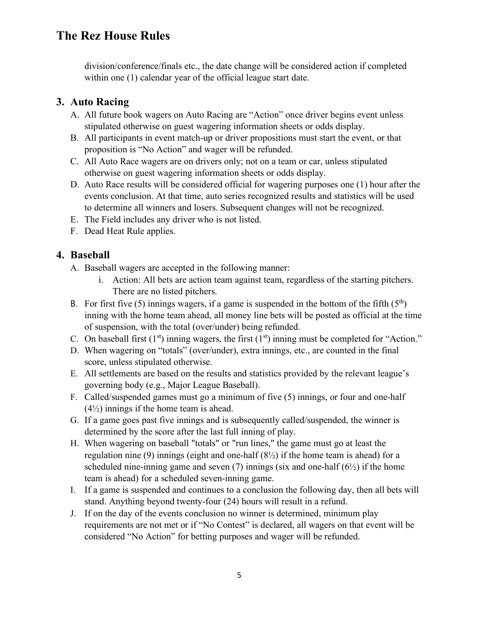division/conference/finals etc., the date change will be considered action if completed within one (1) calendar year of the official league start date.

### **3. Auto Racing**

- A. All future book wagers on Auto Racing are "Action" once driver begins event unless stipulated otherwise on guest wagering information sheets or odds display.
- B. All participants in event match-up or driver propositions must start the event, or that proposition is "No Action" and wager will be refunded.
- C. All Auto Race wagers are on drivers only; not on a team or car, unless stipulated otherwise on guest wagering information sheets or odds display.
- D. Auto Race results will be considered official for wagering purposes one (1) hour after the events conclusion. At that time, auto series recognized results and statistics will be used to determine all winners and losers. Subsequent changes will not be recognized.
- E. The Field includes any driver who is not listed.
- F. Dead Heat Rule applies.

### **4. Baseball**

- A. Baseball wagers are accepted in the following manner:
	- i. Action: All bets are action team against team, regardless of the starting pitchers. There are no listed pitchers.
- B. For first five (5) innings wagers, if a game is suspended in the bottom of the fifth  $(5<sup>th</sup>)$ inning with the home team ahead, all money line bets will be posted as official at the time of suspension, with the total (over/under) being refunded.
- C. On baseball first  $(1<sup>st</sup>)$  inning wagers, the first  $(1<sup>st</sup>)$  inning must be completed for "Action."
- D. When wagering on "totals" (over/under), extra innings, etc., are counted in the final score, unless stipulated otherwise.
- E. All settlements are based on the results and statistics provided by the relevant league's governing body (e.g., Major League Baseball).
- F. Called/suspended games must go a minimum of five (5) innings, or four and one-half  $(4\frac{1}{2})$  innings if the home team is ahead.
- G. If a game goes past five innings and is subsequently called/suspended, the winner is determined by the score after the last full inning of play.
- H. When wagering on baseball "totals" or "run lines," the game must go at least the regulation nine (9) innings (eight and one-half  $(8\frac{1}{2})$  if the home team is ahead) for a scheduled nine-inning game and seven  $(7)$  innings (six and one-half  $(6\frac{1}{2})$ ) if the home team is ahead) for a scheduled seven-inning game.
- I. If a game is suspended and continues to a conclusion the following day, then all bets will stand. Anything beyond twenty-four (24) hours will result in a refund.
- J. If on the day of the events conclusion no winner is determined, minimum play requirements are not met or if "No Contest" is declared, all wagers on that event will be considered "No Action" for betting purposes and wager will be refunded.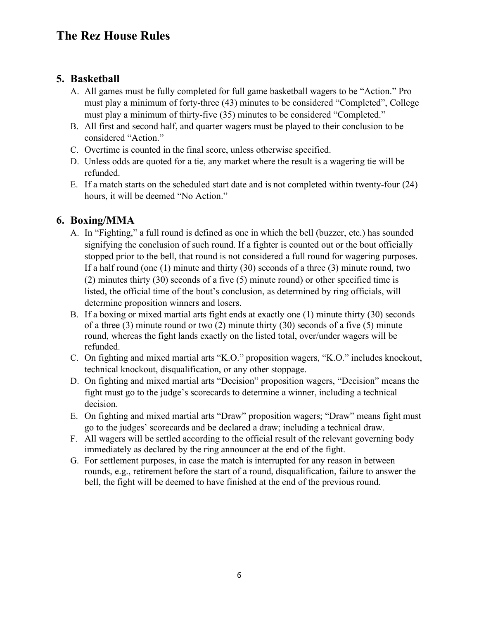## **5. Basketball**

- A. All games must be fully completed for full game basketball wagers to be "Action." Pro must play a minimum of forty-three (43) minutes to be considered "Completed", College must play a minimum of thirty-five (35) minutes to be considered "Completed."
- B. All first and second half, and quarter wagers must be played to their conclusion to be considered "Action."
- C. Overtime is counted in the final score, unless otherwise specified.
- D. Unless odds are quoted for a tie, any market where the result is a wagering tie will be refunded.
- E. If a match starts on the scheduled start date and is not completed within twenty-four (24) hours, it will be deemed "No Action."

### **6. Boxing/MMA**

- A. In "Fighting," a full round is defined as one in which the bell (buzzer, etc.) has sounded signifying the conclusion of such round. If a fighter is counted out or the bout officially stopped prior to the bell, that round is not considered a full round for wagering purposes. If a half round (one (1) minute and thirty (30) seconds of a three (3) minute round, two (2) minutes thirty (30) seconds of a five (5) minute round) or other specified time is listed, the official time of the bout's conclusion, as determined by ring officials, will determine proposition winners and losers.
- B. If a boxing or mixed martial arts fight ends at exactly one (1) minute thirty (30) seconds of a three (3) minute round or two (2) minute thirty (30) seconds of a five (5) minute round, whereas the fight lands exactly on the listed total, over/under wagers will be refunded.
- C. On fighting and mixed martial arts "K.O." proposition wagers, "K.O." includes knockout, technical knockout, disqualification, or any other stoppage.
- D. On fighting and mixed martial arts "Decision" proposition wagers, "Decision" means the fight must go to the judge's scorecards to determine a winner, including a technical decision.
- E. On fighting and mixed martial arts "Draw" proposition wagers; "Draw" means fight must go to the judges' scorecards and be declared a draw; including a technical draw.
- F. All wagers will be settled according to the official result of the relevant governing body immediately as declared by the ring announcer at the end of the fight.
- G. For settlement purposes, in case the match is interrupted for any reason in between rounds, e.g., retirement before the start of a round, disqualification, failure to answer the bell, the fight will be deemed to have finished at the end of the previous round.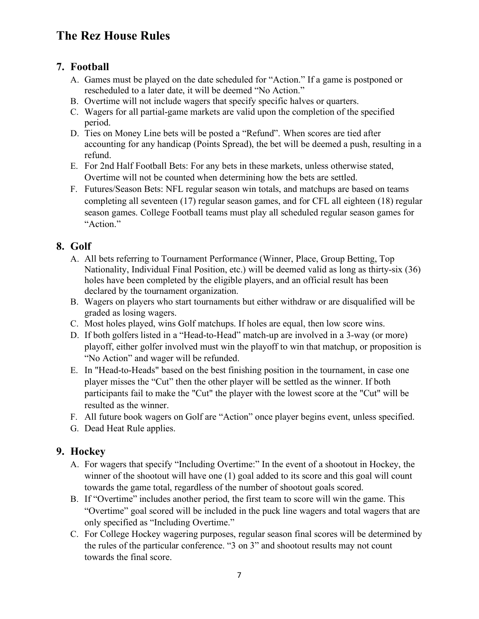## **7. Football**

- A. Games must be played on the date scheduled for "Action." If a game is postponed or rescheduled to a later date, it will be deemed "No Action."
- B. Overtime will not include wagers that specify specific halves or quarters.
- C. Wagers for all partial-game markets are valid upon the completion of the specified period.
- D. Ties on Money Line bets will be posted a "Refund". When scores are tied after accounting for any handicap (Points Spread), the bet will be deemed a push, resulting in a refund.
- E. For 2nd Half Football Bets: For any bets in these markets, unless otherwise stated, Overtime will not be counted when determining how the bets are settled.
- F. Futures/Season Bets: NFL regular season win totals, and matchups are based on teams completing all seventeen (17) regular season games, and for CFL all eighteen (18) regular season games. College Football teams must play all scheduled regular season games for "Action."

### **8. Golf**

- A. All bets referring to Tournament Performance (Winner, Place, Group Betting, Top Nationality, Individual Final Position, etc.) will be deemed valid as long as thirty-six (36) holes have been completed by the eligible players, and an official result has been declared by the tournament organization.
- B. Wagers on players who start tournaments but either withdraw or are disqualified will be graded as losing wagers.
- C. Most holes played, wins Golf matchups. If holes are equal, then low score wins.
- D. If both golfers listed in a "Head-to-Head" match-up are involved in a 3-way (or more) playoff, either golfer involved must win the playoff to win that matchup, or proposition is "No Action" and wager will be refunded.
- E. In "Head-to-Heads" based on the best finishing position in the tournament, in case one player misses the "Cut" then the other player will be settled as the winner. If both participants fail to make the "Cut" the player with the lowest score at the "Cut" will be resulted as the winner.
- F. All future book wagers on Golf are "Action" once player begins event, unless specified.
- G. Dead Heat Rule applies.

### **9. Hockey**

- A. For wagers that specify "Including Overtime:" In the event of a shootout in Hockey, the winner of the shootout will have one (1) goal added to its score and this goal will count towards the game total, regardless of the number of shootout goals scored.
- B. If "Overtime" includes another period, the first team to score will win the game. This "Overtime" goal scored will be included in the puck line wagers and total wagers that are only specified as "Including Overtime."
- C. For College Hockey wagering purposes, regular season final scores will be determined by the rules of the particular conference. "3 on 3" and shootout results may not count towards the final score.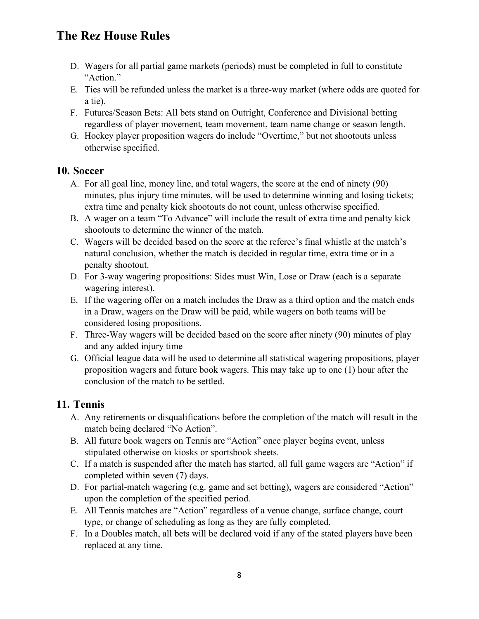- D. Wagers for all partial game markets (periods) must be completed in full to constitute "Action."
- E. Ties will be refunded unless the market is a three-way market (where odds are quoted for a tie).
- F. Futures/Season Bets: All bets stand on Outright, Conference and Divisional betting regardless of player movement, team movement, team name change or season length.
- G. Hockey player proposition wagers do include "Overtime," but not shootouts unless otherwise specified.

### **10. Soccer**

- A. For all goal line, money line, and total wagers, the score at the end of ninety (90) minutes, plus injury time minutes, will be used to determine winning and losing tickets; extra time and penalty kick shootouts do not count, unless otherwise specified.
- B. A wager on a team "To Advance" will include the result of extra time and penalty kick shootouts to determine the winner of the match.
- C. Wagers will be decided based on the score at the referee's final whistle at the match's natural conclusion, whether the match is decided in regular time, extra time or in a penalty shootout.
- D. For 3-way wagering propositions: Sides must Win, Lose or Draw (each is a separate wagering interest).
- E. If the wagering offer on a match includes the Draw as a third option and the match ends in a Draw, wagers on the Draw will be paid, while wagers on both teams will be considered losing propositions.
- F. Three-Way wagers will be decided based on the score after ninety (90) minutes of play and any added injury time
- G. Official league data will be used to determine all statistical wagering propositions, player proposition wagers and future book wagers. This may take up to one (1) hour after the conclusion of the match to be settled.

## **11. Tennis**

- A. Any retirements or disqualifications before the completion of the match will result in the match being declared "No Action".
- B. All future book wagers on Tennis are "Action" once player begins event, unless stipulated otherwise on kiosks or sportsbook sheets.
- C. If a match is suspended after the match has started, all full game wagers are "Action" if completed within seven (7) days.
- D. For partial-match wagering (e.g. game and set betting), wagers are considered "Action" upon the completion of the specified period.
- E. All Tennis matches are "Action" regardless of a venue change, surface change, court type, or change of scheduling as long as they are fully completed.
- F. In a Doubles match, all bets will be declared void if any of the stated players have been replaced at any time.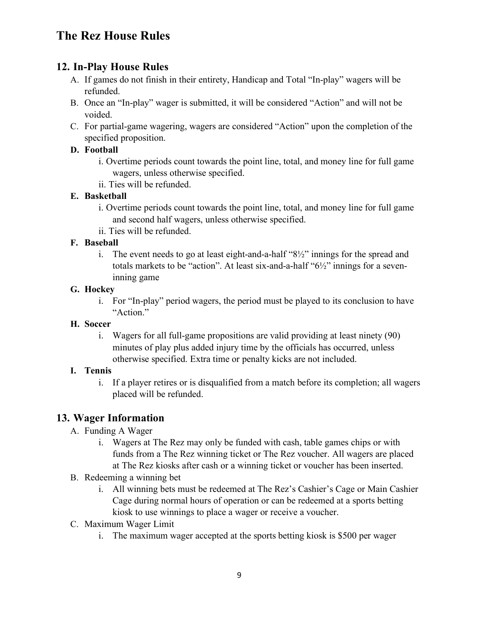## **12. In-Play House Rules**

- A. If games do not finish in their entirety, Handicap and Total "In-play" wagers will be refunded.
- B. Once an "In-play" wager is submitted, it will be considered "Action" and will not be voided.
- C. For partial-game wagering, wagers are considered "Action" upon the completion of the specified proposition.

#### **D. Football**

- i. Overtime periods count towards the point line, total, and money line for full game wagers, unless otherwise specified.
- ii. Ties will be refunded.

### **E. Basketball**

- i. Overtime periods count towards the point line, total, and money line for full game and second half wagers, unless otherwise specified.
- ii. Ties will be refunded.

### **F. Baseball**

i. The event needs to go at least eight-and-a-half "8½" innings for the spread and totals markets to be "action". At least six-and-a-half "6½" innings for a seveninning game

#### **G. Hockey**

i. For "In-play" period wagers, the period must be played to its conclusion to have "Action."

#### **H. Soccer**

i. Wagers for all full-game propositions are valid providing at least ninety (90) minutes of play plus added injury time by the officials has occurred, unless otherwise specified. Extra time or penalty kicks are not included.

#### **I. Tennis**

i. If a player retires or is disqualified from a match before its completion; all wagers placed will be refunded.

## **13. Wager Information**

- A. Funding A Wager
	- i. Wagers at The Rez may only be funded with cash, table games chips or with funds from a The Rez winning ticket or The Rez voucher. All wagers are placed at The Rez kiosks after cash or a winning ticket or voucher has been inserted.
- B. Redeeming a winning bet
	- i. All winning bets must be redeemed at The Rez's Cashier's Cage or Main Cashier Cage during normal hours of operation or can be redeemed at a sports betting kiosk to use winnings to place a wager or receive a voucher.
- C. Maximum Wager Limit
	- i. The maximum wager accepted at the sports betting kiosk is \$500 per wager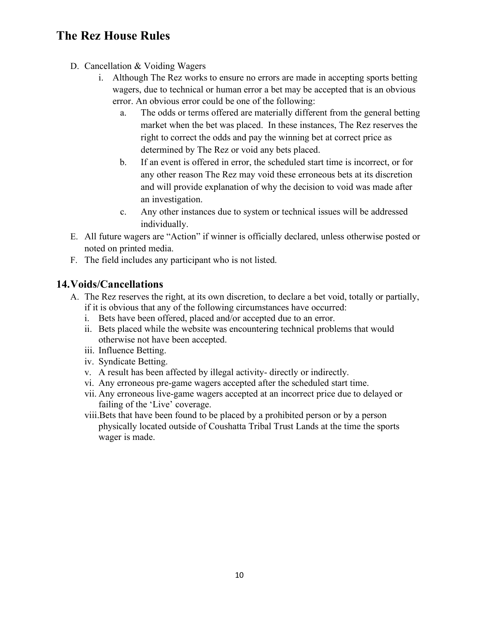- D. Cancellation & Voiding Wagers
	- i. Although The Rez works to ensure no errors are made in accepting sports betting wagers, due to technical or human error a bet may be accepted that is an obvious error. An obvious error could be one of the following:
		- a. The odds or terms offered are materially different from the general betting market when the bet was placed. In these instances, The Rez reserves the right to correct the odds and pay the winning bet at correct price as determined by The Rez or void any bets placed.
		- b. If an event is offered in error, the scheduled start time is incorrect, or for any other reason The Rez may void these erroneous bets at its discretion and will provide explanation of why the decision to void was made after an investigation.
		- c. Any other instances due to system or technical issues will be addressed individually.
- E. All future wagers are "Action" if winner is officially declared, unless otherwise posted or noted on printed media.
- F. The field includes any participant who is not listed.

### **14.Voids/Cancellations**

- A. The Rez reserves the right, at its own discretion, to declare a bet void, totally or partially, if it is obvious that any of the following circumstances have occurred:
	- i. Bets have been offered, placed and/or accepted due to an error.
	- ii. Bets placed while the website was encountering technical problems that would otherwise not have been accepted.
	- iii. Influence Betting.
	- iv. Syndicate Betting.
	- v. A result has been affected by illegal activity- directly or indirectly.
	- vi. Any erroneous pre-game wagers accepted after the scheduled start time.
	- vii. Any erroneous live-game wagers accepted at an incorrect price due to delayed or failing of the 'Live' coverage.
	- viii.Bets that have been found to be placed by a prohibited person or by a person physically located outside of Coushatta Tribal Trust Lands at the time the sports wager is made.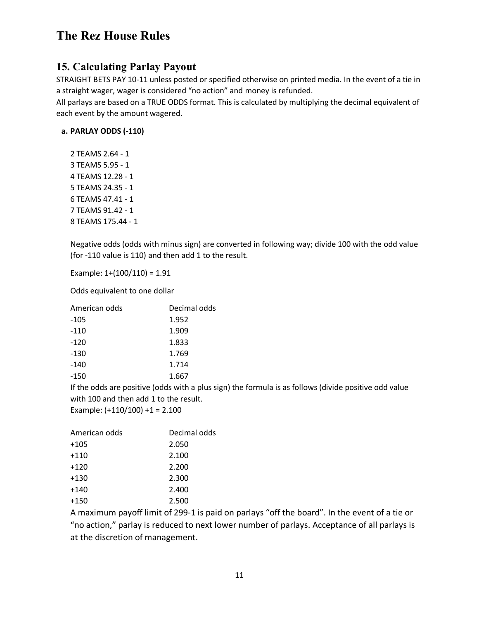### **15. Calculating Parlay Payout**

STRAIGHT BETS PAY 10-11 unless posted or specified otherwise on printed media. In the event of a tie in a straight wager, wager is considered "no action" and money is refunded.

All parlays are based on a TRUE ODDS format. This is calculated by multiplying the decimal equivalent of each event by the amount wagered.

#### **a. PARLAY ODDS (-110)**

2 TEAMS 2.64 - 1 3 TEAMS 5.95 - 1 4 TEAMS 12.28 - 1 5 TEAMS 24.35 - 1 6 TEAMS 47.41 - 1 7 TEAMS 91.42 - 1 8 TEAMS 175.44 - 1

Negative odds (odds with minus sign) are converted in following way; divide 100 with the odd value (for -110 value is 110) and then add 1 to the result.

Example: 1+(100/110) = 1.91

Odds equivalent to one dollar

| American odds | Decimal odds |  |  |
|---------------|--------------|--|--|
| -105          | 1.952        |  |  |
| $-110$        | 1.909        |  |  |
| $-120$        | 1.833        |  |  |
| $-130$        | 1.769        |  |  |
| $-140$        | 1.714        |  |  |
| -150          | 1.667        |  |  |

If the odds are positive (odds with a plus sign) the formula is as follows (divide positive odd value with 100 and then add 1 to the result.

Example:  $(+110/100) +1 = 2.100$ 

| American odds | Decimal odds |  |  |
|---------------|--------------|--|--|
| $+105$        | 2.050        |  |  |
| $+110$        | 2.100        |  |  |
| $+120$        | 2.200        |  |  |
| $+130$        | 2.300        |  |  |
| $+140$        | 2.400        |  |  |
| $+150$        | 2.500        |  |  |
|               |              |  |  |

A maximum payoff limit of 299-1 is paid on parlays "off the board". In the event of a tie or "no action," parlay is reduced to next lower number of parlays. Acceptance of all parlays is at the discretion of management.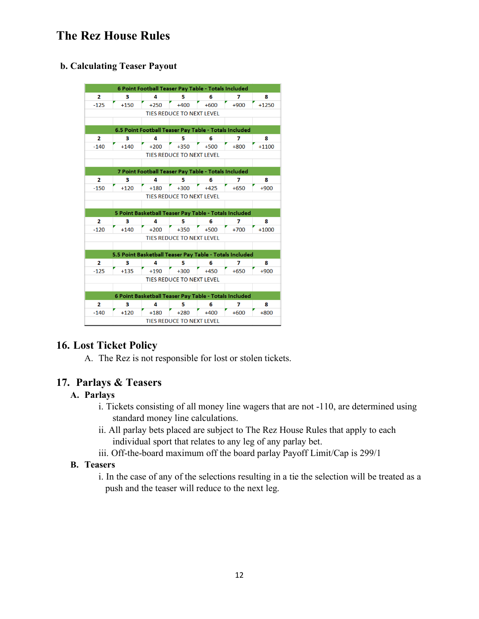#### **b. Calculating Teaser Payout**

| 6 Point Football Teaser Pay Table - Totals Included                |                                  |                                                       |                                  |        |        |         |  |  |  |  |
|--------------------------------------------------------------------|----------------------------------|-------------------------------------------------------|----------------------------------|--------|--------|---------|--|--|--|--|
| $\mathbf{2}$                                                       | з                                | 4                                                     | 5                                | 6      | 7      | 8       |  |  |  |  |
| $-125$                                                             | $+150$                           | $+250$                                                | $+400$                           | $+600$ | $+900$ | $+1250$ |  |  |  |  |
|                                                                    | <b>TIES REDUCE TO NEXT LEVEL</b> |                                                       |                                  |        |        |         |  |  |  |  |
|                                                                    |                                  |                                                       |                                  |        |        |         |  |  |  |  |
| 6.5 Point Football Teaser Pay Table - Totals Included              |                                  |                                                       |                                  |        |        |         |  |  |  |  |
| 2                                                                  | 3                                | 4                                                     | 5                                | 6      | 7      | 8       |  |  |  |  |
| $-140$                                                             | $+140$                           | $+200$                                                | $+350$                           | $+500$ | $+800$ | $+1100$ |  |  |  |  |
| <b>TIES REDUCE TO NEXT LEVEL</b>                                   |                                  |                                                       |                                  |        |        |         |  |  |  |  |
|                                                                    |                                  |                                                       |                                  |        |        |         |  |  |  |  |
| 7 Point Football Teaser Pay Table - Totals Included                |                                  |                                                       |                                  |        |        |         |  |  |  |  |
| $\overline{2}$                                                     | з                                | 4                                                     | 5                                | 6      | 7      | 8       |  |  |  |  |
| $-150$                                                             | $+120$                           | $+180$                                                | $+300$                           | $+425$ | $+650$ | $+900$  |  |  |  |  |
|                                                                    |                                  |                                                       | <b>TIES REDUCE TO NEXT LEVEL</b> |        |        |         |  |  |  |  |
|                                                                    |                                  |                                                       |                                  |        |        |         |  |  |  |  |
|                                                                    |                                  | 5 Point Basketball Teaser Pay Table - Totals Included |                                  |        |        |         |  |  |  |  |
| $\mathbf{2}$                                                       | 3                                | 4                                                     | 5                                | 6      | 7      | 8       |  |  |  |  |
| $-120$                                                             | $+140$                           | $+200$                                                | $+350$                           | $+500$ | $+700$ | $+1000$ |  |  |  |  |
| <b>TIES REDUCE TO NEXT LEVEL</b>                                   |                                  |                                                       |                                  |        |        |         |  |  |  |  |
|                                                                    |                                  |                                                       |                                  |        |        |         |  |  |  |  |
| 5.5 Point Basketball Teaser Pay Table - Totals Included            |                                  |                                                       |                                  |        |        |         |  |  |  |  |
| 2                                                                  | 3                                | 4                                                     | 5                                | 6      | 7      | 8       |  |  |  |  |
| $-125$                                                             | $+135$                           | $+190$                                                | $+300$                           | $+450$ | $+650$ | $+900$  |  |  |  |  |
| <b>TIES REDUCE TO NEXT LEVEL</b>                                   |                                  |                                                       |                                  |        |        |         |  |  |  |  |
|                                                                    |                                  |                                                       |                                  |        |        |         |  |  |  |  |
| 6 Point Basketball Teaser Pay Table - Totals Included              |                                  |                                                       |                                  |        |        |         |  |  |  |  |
| 2                                                                  | 3                                | 4                                                     | 5                                | 6      | 7      | 8       |  |  |  |  |
| $-140$<br>$+120$<br>$+180$<br>$+600$<br>$+800$<br>$+280$<br>$+400$ |                                  |                                                       |                                  |        |        |         |  |  |  |  |
| <b>TIES REDUCE TO NEXT LEVEL</b>                                   |                                  |                                                       |                                  |        |        |         |  |  |  |  |

### **16. Lost Ticket Policy**

A. The Rez is not responsible for lost or stolen tickets.

#### **17. Parlays & Teasers**

#### **A. Parlays**

- i. Tickets consisting of all money line wagers that are not -110, are determined using standard money line calculations.
- ii. All parlay bets placed are subject to The Rez House Rules that apply to each individual sport that relates to any leg of any parlay bet.
- iii. Off-the-board maximum off the board parlay Payoff Limit/Cap is 299/1

#### **B. Teasers**

i. In the case of any of the selections resulting in a tie the selection will be treated as a push and the teaser will reduce to the next leg.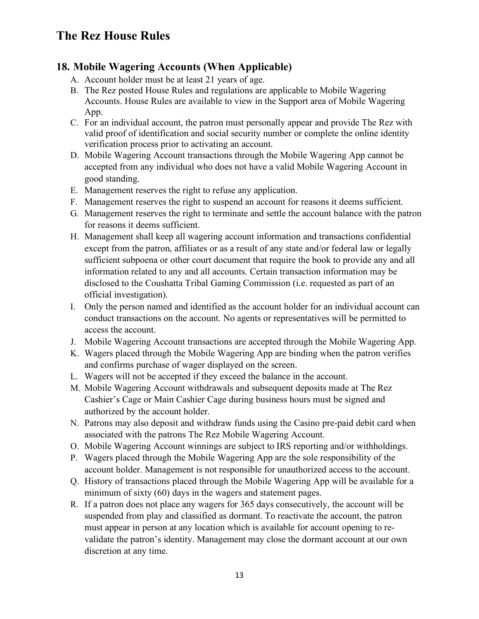### **18. Mobile Wagering Accounts (When Applicable)**

- A. Account holder must be at least 21 years of age.
- B. The Rez posted House Rules and regulations are applicable to Mobile Wagering Accounts. House Rules are available to view in the Support area of Mobile Wagering App.
- C. For an individual account, the patron must personally appear and provide The Rez with valid proof of identification and social security number or complete the online identity verification process prior to activating an account.
- D. Mobile Wagering Account transactions through the Mobile Wagering App cannot be accepted from any individual who does not have a valid Mobile Wagering Account in good standing.
- E. Management reserves the right to refuse any application.
- F. Management reserves the right to suspend an account for reasons it deems sufficient.
- G. Management reserves the right to terminate and settle the account balance with the patron for reasons it deems sufficient.
- H. Management shall keep all wagering account information and transactions confidential except from the patron, affiliates or as a result of any state and/or federal law or legally sufficient subpoena or other court document that require the book to provide any and all information related to any and all accounts. Certain transaction information may be disclosed to the Coushatta Tribal Gaming Commission (i.e. requested as part of an official investigation).
- I. Only the person named and identified as the account holder for an individual account can conduct transactions on the account. No agents or representatives will be permitted to access the account.
- J. Mobile Wagering Account transactions are accepted through the Mobile Wagering App.
- K. Wagers placed through the Mobile Wagering App are binding when the patron verifies and confirms purchase of wager displayed on the screen.
- L. Wagers will not be accepted if they exceed the balance in the account.
- M. Mobile Wagering Account withdrawals and subsequent deposits made at The Rez Cashier's Cage or Main Cashier Cage during business hours must be signed and authorized by the account holder.
- N. Patrons may also deposit and withdraw funds using the Casino pre-paid debit card when associated with the patrons The Rez Mobile Wagering Account.
- O. Mobile Wagering Account winnings are subject to IRS reporting and/or withholdings.
- P. Wagers placed through the Mobile Wagering App are the sole responsibility of the account holder. Management is not responsible for unauthorized access to the account.
- Q. History of transactions placed through the Mobile Wagering App will be available for a minimum of sixty (60) days in the wagers and statement pages.
- R. If a patron does not place any wagers for 365 days consecutively, the account will be suspended from play and classified as dormant. To reactivate the account, the patron must appear in person at any location which is available for account opening to revalidate the patron's identity. Management may close the dormant account at our own discretion at any time.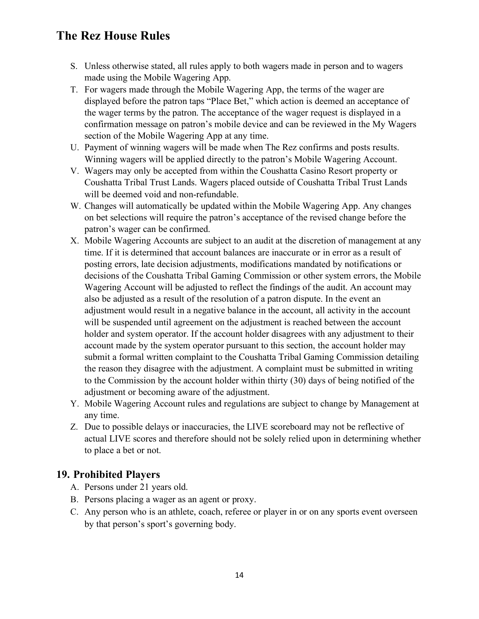- S. Unless otherwise stated, all rules apply to both wagers made in person and to wagers made using the Mobile Wagering App.
- T. For wagers made through the Mobile Wagering App, the terms of the wager are displayed before the patron taps "Place Bet," which action is deemed an acceptance of the wager terms by the patron. The acceptance of the wager request is displayed in a confirmation message on patron's mobile device and can be reviewed in the My Wagers section of the Mobile Wagering App at any time.
- U. Payment of winning wagers will be made when The Rez confirms and posts results. Winning wagers will be applied directly to the patron's Mobile Wagering Account.
- V. Wagers may only be accepted from within the Coushatta Casino Resort property or Coushatta Tribal Trust Lands. Wagers placed outside of Coushatta Tribal Trust Lands will be deemed void and non-refundable.
- W. Changes will automatically be updated within the Mobile Wagering App. Any changes on bet selections will require the patron's acceptance of the revised change before the patron's wager can be confirmed.
- X. Mobile Wagering Accounts are subject to an audit at the discretion of management at any time. If it is determined that account balances are inaccurate or in error as a result of posting errors, late decision adjustments, modifications mandated by notifications or decisions of the Coushatta Tribal Gaming Commission or other system errors, the Mobile Wagering Account will be adjusted to reflect the findings of the audit. An account may also be adjusted as a result of the resolution of a patron dispute. In the event an adjustment would result in a negative balance in the account, all activity in the account will be suspended until agreement on the adjustment is reached between the account holder and system operator. If the account holder disagrees with any adjustment to their account made by the system operator pursuant to this section, the account holder may submit a formal written complaint to the Coushatta Tribal Gaming Commission detailing the reason they disagree with the adjustment. A complaint must be submitted in writing to the Commission by the account holder within thirty (30) days of being notified of the adjustment or becoming aware of the adjustment.
- Y. Mobile Wagering Account rules and regulations are subject to change by Management at any time.
- Z. Due to possible delays or inaccuracies, the LIVE scoreboard may not be reflective of actual LIVE scores and therefore should not be solely relied upon in determining whether to place a bet or not.

## **19. Prohibited Players**

- A. Persons under 21 years old.
- B. Persons placing a wager as an agent or proxy.
- C. Any person who is an athlete, coach, referee or player in or on any sports event overseen by that person's sport's governing body.